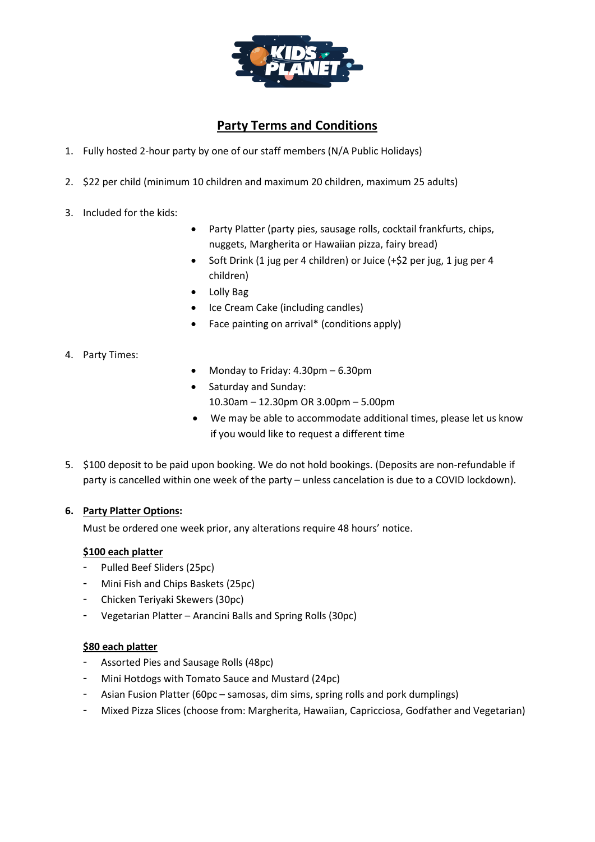

## **Party Terms and Conditions**

- 1. Fully hosted 2-hour party by one of our staff members (N/A Public Holidays)
- 2. \$22 per child (minimum 10 children and maximum 20 children, maximum 25 adults)
- 3. Included for the kids:
- Party Platter (party pies, sausage rolls, cocktail frankfurts, chips, nuggets, Margherita or Hawaiian pizza, fairy bread)
- Soft Drink (1 jug per 4 children) or Juice (+\$2 per jug, 1 jug per 4 children)
- Lolly Bag
- Ice Cream Cake (including candles)
- Face painting on arrival\* (conditions apply)
- 4. Party Times:
- Monday to Friday: 4.30pm 6.30pm
- Saturday and Sunday:
	- 10.30am 12.30pm OR 3.00pm 5.00pm
- We may be able to accommodate additional times, please let us know if you would like to request a different time
- 5. \$100 deposit to be paid upon booking. We do not hold bookings. (Deposits are non-refundable if party is cancelled within one week of the party – unless cancelation is due to a COVID lockdown).

## **6. Party Platter Options:**

Must be ordered one week prior, any alterations require 48 hours' notice.

## **\$100 each platter**

- Pulled Beef Sliders (25pc)
- Mini Fish and Chips Baskets (25pc)
- Chicken Teriyaki Skewers (30pc)
- Vegetarian Platter Arancini Balls and Spring Rolls (30pc)

## **\$80 each platter**

- Assorted Pies and Sausage Rolls (48pc)
- Mini Hotdogs with Tomato Sauce and Mustard (24pc)
- Asian Fusion Platter (60pc samosas, dim sims, spring rolls and pork dumplings)
- Mixed Pizza Slices (choose from: Margherita, Hawaiian, Capricciosa, Godfather and Vegetarian)